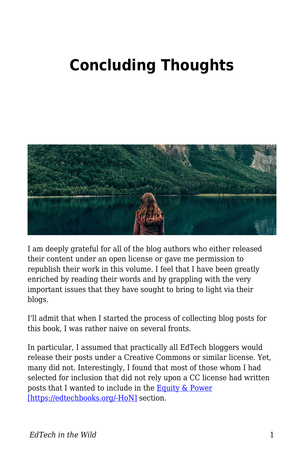## **Concluding Thoughts**



I am deeply grateful for all of the blog authors who either released their content under an open license or gave me permission to republish their work in this volume. I feel that I have been greatly enriched by reading their words and by grappling with the very important issues that they have sought to bring to light via their blogs.

I'll admit that when I started the process of collecting blog posts for this book, I was rather naive on several fronts.

In particular, I assumed that practically all EdTech bloggers would release their posts under a Creative Commons or similar license. Yet, many did not. Interestingly, I found that most of those whom I had selected for inclusion that did not rely upon a CC license had written posts that I wanted to include in the **Equity & Power** [\[https://edtechbooks.org/-HoN\]](https://edtechbooks.org/wild/equity_power) section.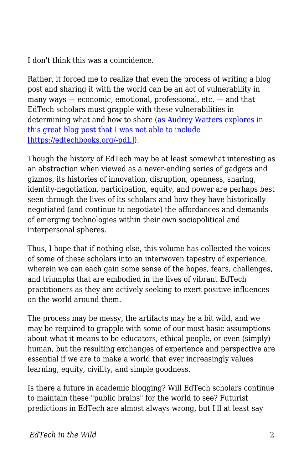I don't think this was a coincidence.

Rather, it forced me to realize that even the process of writing a blog post and sharing it with the world can be an act of vulnerability in many ways — economic, emotional, professional, etc. — and that EdTech scholars must grapple with these vulnerabilities in determining what and how to share [\(as Audrey Watters explores in](http://hackeducation.com/2018/05/04/cuny-labor-open) [this great blog post that I was not able to include](http://hackeducation.com/2018/05/04/cuny-labor-open) [\[https://edtechbooks.org/-pdL\]\)](http://hackeducation.com/2018/05/04/cuny-labor-open).

Though the history of EdTech may be at least somewhat interesting as an abstraction when viewed as a never-ending series of gadgets and gizmos, its histories of innovation, disruption, openness, sharing, identity-negotiation, participation, equity, and power are perhaps best seen through the lives of its scholars and how they have historically negotiated (and continue to negotiate) the affordances and demands of emerging technologies within their own sociopolitical and interpersonal spheres.

Thus, I hope that if nothing else, this volume has collected the voices of some of these scholars into an interwoven tapestry of experience, wherein we can each gain some sense of the hopes, fears, challenges, and triumphs that are embodied in the lives of vibrant EdTech practitioners as they are actively seeking to exert positive influences on the world around them.

The process may be messy, the artifacts may be a bit wild, and we may be required to grapple with some of our most basic assumptions about what it means to be educators, ethical people, or even (simply) human, but the resulting exchanges of experience and perspective are essential if we are to make a world that ever increasingly values learning, equity, civility, and simple goodness.

Is there a future in academic blogging? Will EdTech scholars continue to maintain these "public brains" for the world to see? Futurist predictions in EdTech are almost always wrong, but I'll at least say